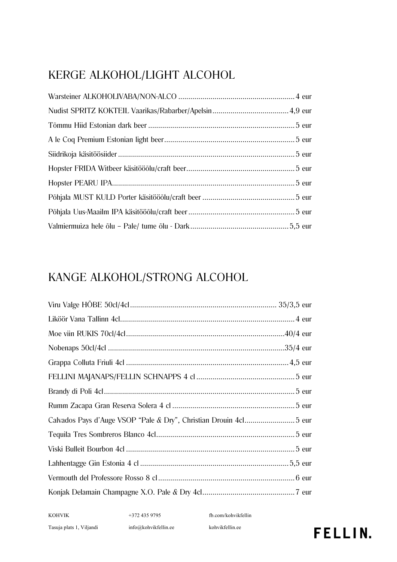## KERGE ALKOHOL/LIGHT ALCOHOL

## KANGE ALKOHOL/STRONG ALCOHOL

KOHVIK +372 435 9795 fb.com/kohvikfellin